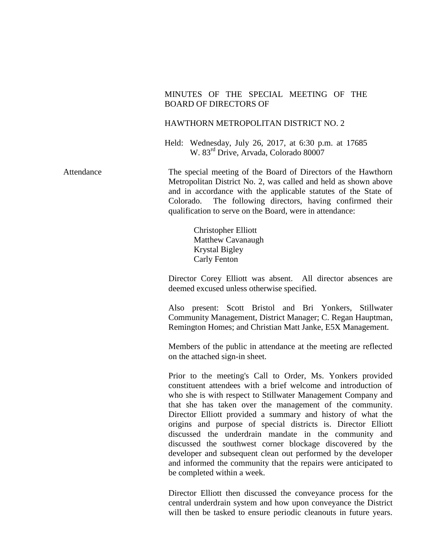### MINUTES OF THE SPECIAL MEETING OF THE BOARD OF DIRECTORS OF

#### HAWTHORN METROPOLITAN DISTRICT NO. 2

Held: Wednesday, July 26, 2017, at 6:30 p.m. at 17685 W. 83rd Drive, Arvada, Colorado 80007

Attendance The special meeting of the Board of Directors of the Hawthorn Metropolitan District No. 2, was called and held as shown above and in accordance with the applicable statutes of the State of Colorado. The following directors, having confirmed their qualification to serve on the Board, were in attendance:

> Christopher Elliott Matthew Cavanaugh Krystal Bigley Carly Fenton

Director Corey Elliott was absent. All director absences are deemed excused unless otherwise specified.

Also present: Scott Bristol and Bri Yonkers, Stillwater Community Management, District Manager; C. Regan Hauptman, Remington Homes; and Christian Matt Janke, E5X Management.

Members of the public in attendance at the meeting are reflected on the attached sign-in sheet.

Prior to the meeting's Call to Order, Ms. Yonkers provided constituent attendees with a brief welcome and introduction of who she is with respect to Stillwater Management Company and that she has taken over the management of the community. Director Elliott provided a summary and history of what the origins and purpose of special districts is. Director Elliott discussed the underdrain mandate in the community and discussed the southwest corner blockage discovered by the developer and subsequent clean out performed by the developer and informed the community that the repairs were anticipated to be completed within a week.

Director Elliott then discussed the conveyance process for the central underdrain system and how upon conveyance the District will then be tasked to ensure periodic cleanouts in future years.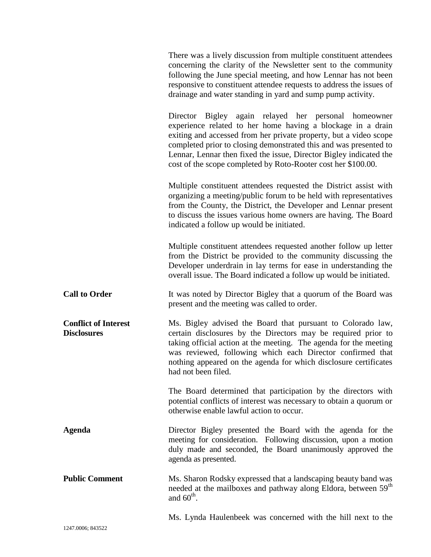|                                                   | There was a lively discussion from multiple constituent attendees<br>concerning the clarity of the Newsletter sent to the community<br>following the June special meeting, and how Lennar has not been<br>responsive to constituent attendee requests to address the issues of<br>drainage and water standing in yard and sump pump activity.                                                        |
|---------------------------------------------------|------------------------------------------------------------------------------------------------------------------------------------------------------------------------------------------------------------------------------------------------------------------------------------------------------------------------------------------------------------------------------------------------------|
|                                                   | Director Bigley again relayed her personal homeowner<br>experience related to her home having a blockage in a drain<br>exiting and accessed from her private property, but a video scope<br>completed prior to closing demonstrated this and was presented to<br>Lennar, Lennar then fixed the issue, Director Bigley indicated the<br>cost of the scope completed by Roto-Rooter cost her \$100.00. |
|                                                   | Multiple constituent attendees requested the District assist with<br>organizing a meeting/public forum to be held with representatives<br>from the County, the District, the Developer and Lennar present<br>to discuss the issues various home owners are having. The Board<br>indicated a follow up would be initiated.                                                                            |
|                                                   | Multiple constituent attendees requested another follow up letter<br>from the District be provided to the community discussing the<br>Developer underdrain in lay terms for ease in understanding the<br>overall issue. The Board indicated a follow up would be initiated.                                                                                                                          |
| <b>Call to Order</b>                              | It was noted by Director Bigley that a quorum of the Board was<br>present and the meeting was called to order.                                                                                                                                                                                                                                                                                       |
| <b>Conflict of Interest</b><br><b>Disclosures</b> | Ms. Bigley advised the Board that pursuant to Colorado law,<br>certain disclosures by the Directors may be required prior to<br>taking official action at the meeting. The agenda for the meeting<br>was reviewed, following which each Director confirmed that<br>nothing appeared on the agenda for which disclosure certificates<br>had not been filed.                                           |
|                                                   | The Board determined that participation by the directors with<br>potential conflicts of interest was necessary to obtain a quorum or<br>otherwise enable lawful action to occur.                                                                                                                                                                                                                     |
| Agenda                                            | Director Bigley presented the Board with the agenda for the<br>meeting for consideration. Following discussion, upon a motion<br>duly made and seconded, the Board unanimously approved the<br>agenda as presented.                                                                                                                                                                                  |
| <b>Public Comment</b>                             | Ms. Sharon Rodsky expressed that a landscaping beauty band was<br>needed at the mailboxes and pathway along Eldora, between 59 <sup>th</sup><br>and $60^{\text{th}}$ .                                                                                                                                                                                                                               |
|                                                   | Ms. Lynda Haulenbeek was concerned with the hill next to the                                                                                                                                                                                                                                                                                                                                         |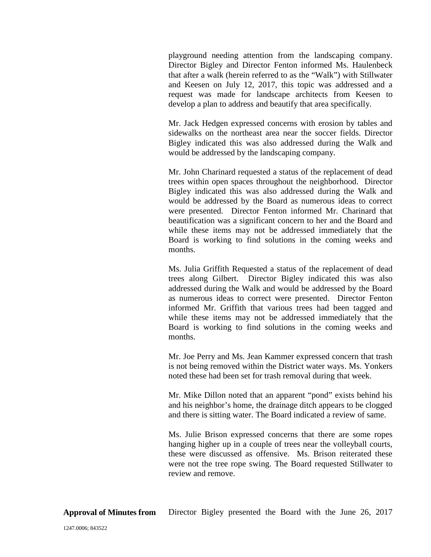playground needing attention from the landscaping company. Director Bigley and Director Fenton informed Ms. Haulenbeck that after a walk (herein referred to as the "Walk") with Stillwater and Keesen on July 12, 2017, this topic was addressed and a request was made for landscape architects from Keesen to develop a plan to address and beautify that area specifically.

Mr. Jack Hedgen expressed concerns with erosion by tables and sidewalks on the northeast area near the soccer fields. Director Bigley indicated this was also addressed during the Walk and would be addressed by the landscaping company.

Mr. John Charinard requested a status of the replacement of dead trees within open spaces throughout the neighborhood. Director Bigley indicated this was also addressed during the Walk and would be addressed by the Board as numerous ideas to correct were presented. Director Fenton informed Mr. Charinard that beautification was a significant concern to her and the Board and while these items may not be addressed immediately that the Board is working to find solutions in the coming weeks and months.

Ms. Julia Griffith Requested a status of the replacement of dead trees along Gilbert. Director Bigley indicated this was also addressed during the Walk and would be addressed by the Board as numerous ideas to correct were presented. Director Fenton informed Mr. Griffith that various trees had been tagged and while these items may not be addressed immediately that the Board is working to find solutions in the coming weeks and months.

Mr. Joe Perry and Ms. Jean Kammer expressed concern that trash is not being removed within the District water ways. Ms. Yonkers noted these had been set for trash removal during that week.

Mr. Mike Dillon noted that an apparent "pond" exists behind his and his neighbor's home, the drainage ditch appears to be clogged and there is sitting water. The Board indicated a review of same.

Ms. Julie Brison expressed concerns that there are some ropes hanging higher up in a couple of trees near the volleyball courts, these were discussed as offensive. Ms. Brison reiterated these were not the tree rope swing. The Board requested Stillwater to review and remove.

**Approval of Minutes from** Director Bigley presented the Board with the June 26, 2017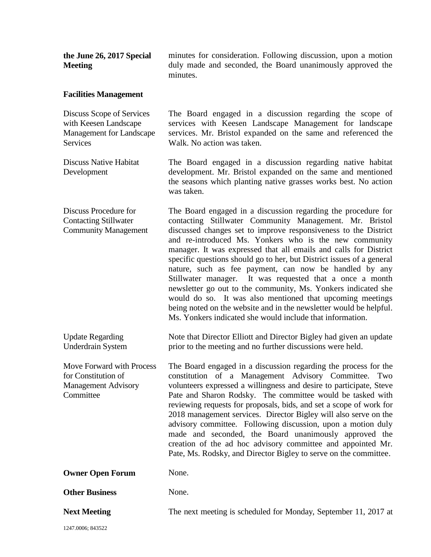| the June 26, 2017 Special<br><b>Meeting</b>                                                 | minutes for consideration. Following discussion, upon a motion<br>duly made and seconded, the Board unanimously approved the<br>minutes.                                                                                                                                                                                                                                                                                                                                                                                                                                                                                                                                                                                                                                                  |
|---------------------------------------------------------------------------------------------|-------------------------------------------------------------------------------------------------------------------------------------------------------------------------------------------------------------------------------------------------------------------------------------------------------------------------------------------------------------------------------------------------------------------------------------------------------------------------------------------------------------------------------------------------------------------------------------------------------------------------------------------------------------------------------------------------------------------------------------------------------------------------------------------|
| <b>Facilities Management</b>                                                                |                                                                                                                                                                                                                                                                                                                                                                                                                                                                                                                                                                                                                                                                                                                                                                                           |
| Discuss Scope of Services<br>with Keesen Landscape<br>Management for Landscape<br>Services  | The Board engaged in a discussion regarding the scope of<br>services with Keesen Landscape Management for landscape<br>services. Mr. Bristol expanded on the same and referenced the<br>Walk. No action was taken.                                                                                                                                                                                                                                                                                                                                                                                                                                                                                                                                                                        |
| <b>Discuss Native Habitat</b><br>Development                                                | The Board engaged in a discussion regarding native habitat<br>development. Mr. Bristol expanded on the same and mentioned<br>the seasons which planting native grasses works best. No action<br>was taken.                                                                                                                                                                                                                                                                                                                                                                                                                                                                                                                                                                                |
| Discuss Procedure for<br><b>Contacting Stillwater</b><br><b>Community Management</b>        | The Board engaged in a discussion regarding the procedure for<br>contacting Stillwater Community Management. Mr. Bristol<br>discussed changes set to improve responsiveness to the District<br>and re-introduced Ms. Yonkers who is the new community<br>manager. It was expressed that all emails and calls for District<br>specific questions should go to her, but District issues of a general<br>nature, such as fee payment, can now be handled by any<br>Stillwater manager. It was requested that a once a month<br>newsletter go out to the community, Ms. Yonkers indicated she<br>would do so. It was also mentioned that upcoming meetings<br>being noted on the website and in the newsletter would be helpful.<br>Ms. Yonkers indicated she would include that information. |
| <b>Update Regarding</b><br><b>Underdrain System</b>                                         | Note that Director Elliott and Director Bigley had given an update<br>prior to the meeting and no further discussions were held.                                                                                                                                                                                                                                                                                                                                                                                                                                                                                                                                                                                                                                                          |
| Move Forward with Process<br>for Constitution of<br><b>Management Advisory</b><br>Committee | The Board engaged in a discussion regarding the process for the<br>constitution of a Management Advisory Committee. Two<br>volunteers expressed a willingness and desire to participate, Steve<br>Pate and Sharon Rodsky. The committee would be tasked with<br>reviewing requests for proposals, bids, and set a scope of work for<br>2018 management services. Director Bigley will also serve on the<br>advisory committee. Following discussion, upon a motion duly<br>made and seconded, the Board unanimously approved the<br>creation of the ad hoc advisory committee and appointed Mr.<br>Pate, Ms. Rodsky, and Director Bigley to serve on the committee.                                                                                                                       |
| <b>Owner Open Forum</b>                                                                     | None.                                                                                                                                                                                                                                                                                                                                                                                                                                                                                                                                                                                                                                                                                                                                                                                     |
| <b>Other Business</b>                                                                       | None.                                                                                                                                                                                                                                                                                                                                                                                                                                                                                                                                                                                                                                                                                                                                                                                     |
| <b>Next Meeting</b>                                                                         | The next meeting is scheduled for Monday, September 11, 2017 at                                                                                                                                                                                                                                                                                                                                                                                                                                                                                                                                                                                                                                                                                                                           |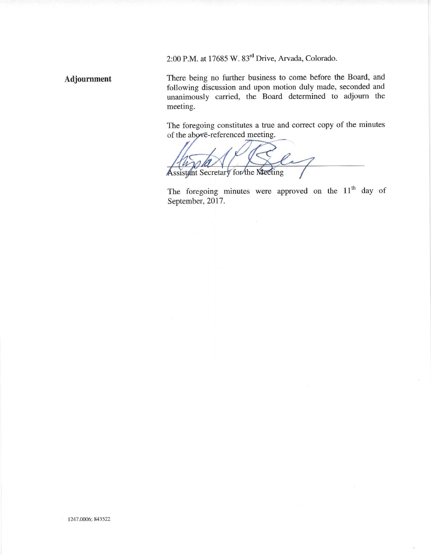2:00 P.M. at 17685 W. 83<sup>rd</sup> Drive, Arvada, Colorado.

Adjournment

There being no further business to come before the Board, and following discussion and upon motion duly made, seconded and unanimously carried, the Board determined to adjourn the meeting.

The foregoing constitutes a true and correct copy of the minutes of the above-referenced meeting.

Assistant Secretary for the Meeting

The foregoing minutes were approved on the 11<sup>th</sup> day of September, 2017.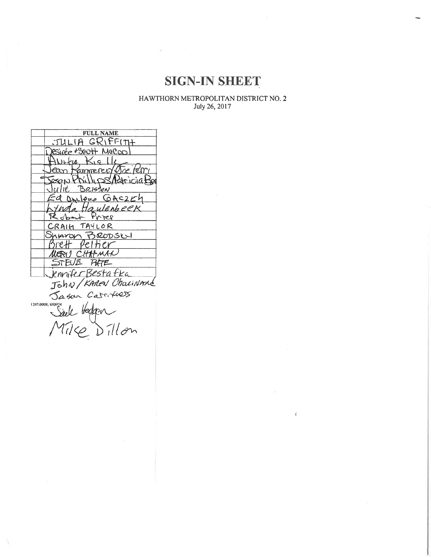## **SIGN-IN SHEET**

 $\begin{array}{c} {\rm HAWTHORN~METROPOLITAN~DISTRICT~NO, 2}\\ {\rm July~26, 2017} \end{array}$ 

 $\vec{\xi}$ 

| <b>FULL NAME</b>           |
|----------------------------|
|                            |
| JULIA GRIFFITH             |
| RSINÉE #SQOH+ MQCOO!       |
| $W+u$ +<br>$<$ , c $\pm 1$ |
| ean tammerer/ere lerri     |
| ESON Phillips Addricial    |
| Julie Brisson              |
| Onleye GAC254              |
| Juda Haulenbeek            |
| Prier<br>& obact           |
| CRAIH TAYLOR               |
| Sharon BRODSCH             |
| srett veltier              |
| MERI) CHAZMAN              |
| STEVIE PHTE                |
| Knnifer Bestafka           |
|                            |
| John / KAREN Chainmand     |
| Jason Cast 4005            |
|                            |
| 1247.0008; 840974          |
|                            |
| Mike Dillon                |
|                            |
|                            |